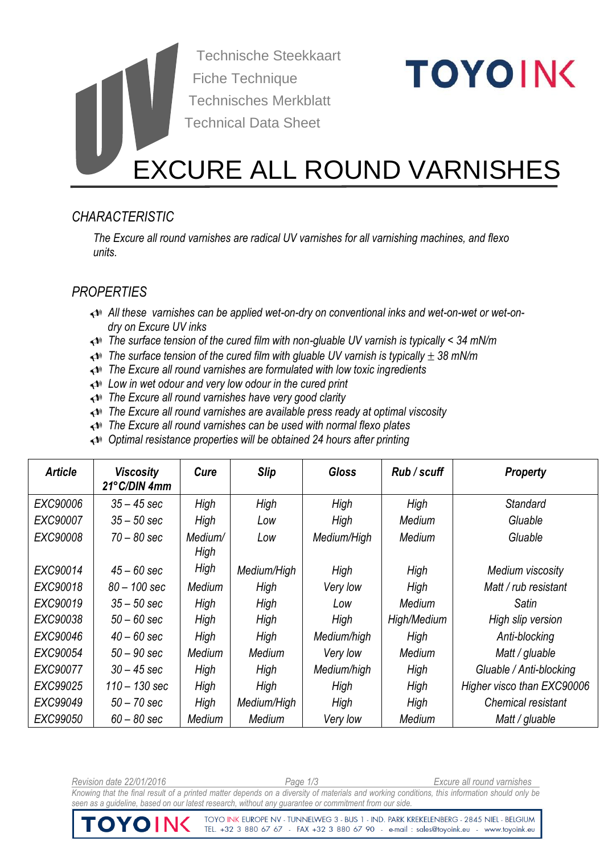Technische Steekkaart Fiche Technique Technisches Merkblatt Technical Data Sheet

# **TOYOING**

# EXCURE ALL ROUND VARNISHES

# *CHARACTERISTIC*

*The Excure all round varnishes are radical UV varnishes for all varnishing machines, and flexo units.*

# *PROPERTIES*

- *All these varnishes can be applied wet-on-dry on conventional inks and wet-on-wet or wet-ondry on Excure UV inks*
- *The surface tension of the cured film with non-gluable UV varnish is typically < 34 mN/m*
- *The surface tension of the cured film with gluable UV varnish is typically 38 mN/m*
- *The Excure all round varnishes are formulated with low toxic ingredients*
- *Low in wet odour and very low odour in the cured print*
- *The Excure all round varnishes have very good clarity*
- *The Excure all round varnishes are available press ready at optimal viscosity*
- *The Excure all round varnishes can be used with normal flexo plates*
- *Optimal resistance properties will be obtained 24 hours after printing*

| <b>Article</b> | <b>Viscosity</b><br>21°C/DIN 4mm | Cure            | <b>Slip</b> | <b>Gloss</b> | Rub/scuff   | <b>Property</b>            |
|----------------|----------------------------------|-----------------|-------------|--------------|-------------|----------------------------|
| EXC90006       | $35 - 45$ sec                    | High            | High        | High         | High        | Standard                   |
| EXC90007       | $35 - 50$ sec                    | High            | Low         | High         | Medium      | Gluable                    |
| EXC90008       | $70 - 80$ sec                    | Medium/<br>High | Low         | Medium/High  | Medium      | Gluable                    |
| EXC90014       | $45 - 60$ sec                    | High            | Medium/High | High         | High        | Medium viscosity           |
| EXC90018       | $80 - 100$ sec                   | Medium          | High        | Very low     | High        | Matt / rub resistant       |
| EXC90019       | $35 - 50$ sec                    | High            | High        | Low          | Medium      | Satin                      |
| EXC90038       | $50 - 60$ sec                    | High            | High        | High         | High/Medium | High slip version          |
| EXC90046       | $40 - 60$ sec                    | High            | High        | Medium/high  | High        | Anti-blocking              |
| EXC90054       | $50 - 90$ sec                    | Medium          | Medium      | Very low     | Medium      | Matt / gluable             |
| EXC90077       | $30 - 45$ sec                    | High            | High        | Medium/high  | High        | Gluable / Anti-blocking    |
| EXC99025       | 110 – 130 sec                    | High            | High        | High         | High        | Higher visco than EXC90006 |
| EXC99049       | $50 - 70$ sec                    | High            | Medium/High | High         | High        | Chemical resistant         |
| EXC99050       | $60 - 80$ sec                    | Medium          | Medium      | Very low     | Medium      | Matt / gluable             |

*Revision date 22/01/2016 Page 1/3 Excure all round varnishes Knowing that the final result of a printed matter depends on a diversity of materials and working conditions, this information should only be seen as a guideline, based on our latest research, without any guarantee or commitment from our side.* 

TOYO INK EUROPE NV - TUNNELWEG 3 - BUS 1 - IND. PARK KREKELENBERG - 2845 NIEL - BELGIUM TEL. +32 3 880 67 67 - FAX +32 3 880 67 90 - e-mail : sales@toyoink.eu - www.toyoink.eu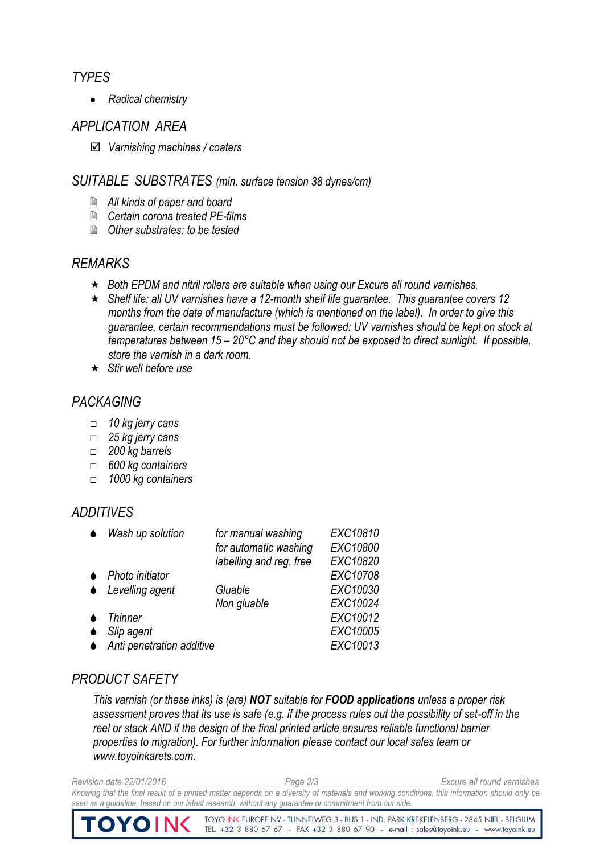#### *TYPES*

*Radical chemistry*

#### *APPLICATION AREA*

*Varnishing machines / coaters*

#### *SUITABLE SUBSTRATES (min. surface tension 38 dynes/cm)*

- *All kinds of paper and board*
- *Certain corona treated PE-films*
- *Other substrates: to be tested*

#### *REMARKS*

- *Both EPDM and nitril rollers are suitable when using our Excure all round varnishes.*
- *Shelf life: all UV varnishes have a 12-month shelf life guarantee. This guarantee covers 12 months from the date of manufacture (which is mentioned on the label). In order to give this guarantee, certain recommendations must be followed: UV varnishes should be kept on stock at temperatures between 15 – 20°C and they should not be exposed to direct sunlight. If possible, store the varnish in a dark room.*
- *Stir well before use*

# *PACKAGING*

- *10 kg jerry cans*
- *25 kg jerry cans*
- *200 kg barrels*
- *600 kg containers*
- *1000 kg containers*

## *ADDITIVES*

| Wash up solution            | for manual washing      | EXC10810 |
|-----------------------------|-------------------------|----------|
|                             | for automatic washing   | EXC10800 |
|                             | labelling and reg. free | EXC10820 |
| $\bullet$ Photo initiator   |                         | EXC10708 |
| $\triangle$ Levelling agent | Gluable                 | EXC10030 |
|                             | Non gluable             | EXC10024 |
| <b>Thinner</b>              |                         | EXC10012 |
| Slip agent                  |                         | EXC10005 |
| Anti penetration additive   | EXC10013                |          |

## *PRODUCT SAFETY*

*This varnish (or these inks) is (are) NOT suitable for FOOD applications unless a proper risk assessment proves that its use is safe (e.g. if the process rules out the possibility of set-off in the reel or stack AND if the design of the final printed article ensures reliable functional barrier properties to migration). For further information please contact our local sales team or www.toyoinkarets.com.*

*Revision date 22/01/2016 Page 2/3 Excure all round varnishes Knowing that the final result of a printed matter depends on a diversity of materials and working conditions, this information should only be seen as a guideline, based on our latest research, without any guarantee or commitment from our side.* 

> TOYO INK EUROPE NV - TUNNELWEG 3 - BUS 1 - IND. PARK KREKELENBERG - 2845 NIEL - BELGIUM TEL. +32 3 880 67 67 - FAX +32 3 880 67 90 - e-mail : sales@toyoink.eu - www.toyoink.eu